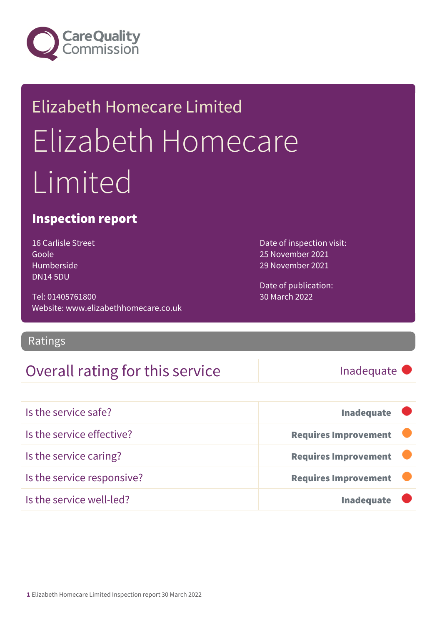

# Elizabeth Homecare Limited Elizabeth Homecare Limited

### Inspection report

16 Carlisle Street Goole Humberside DN14 5DU

Tel: 01405761800 Website: www.elizabethhomecare.co.uk

Ratings

### Overall rating for this service Inadequate

Date of inspection visit: 25 November 2021 29 November 2021

Date of publication: 30 March 2022

| Is the service safe?       | <b>Inadequate</b>           |  |
|----------------------------|-----------------------------|--|
| Is the service effective?  | <b>Requires Improvement</b> |  |
| Is the service caring?     | <b>Requires Improvement</b> |  |
| Is the service responsive? | <b>Requires Improvement</b> |  |
| Is the service well-led?   | <b>Inadequate</b>           |  |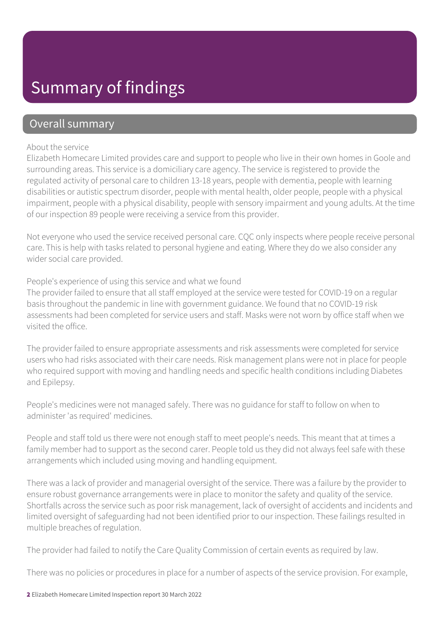### Summary of findings

### Overall summary

#### About the service

Elizabeth Homecare Limited provides care and support to people who live in their own homes in Goole and surrounding areas. This service is a domiciliary care agency. The service is registered to provide the regulated activity of personal care to children 13-18 years, people with dementia, people with learning disabilities or autistic spectrum disorder, people with mental health, older people, people with a physical impairment, people with a physical disability, people with sensory impairment and young adults. At the time of our inspection 89 people were receiving a service from this provider.

Not everyone who used the service received personal care. CQC only inspects where people receive personal care. This is help with tasks related to personal hygiene and eating. Where they do we also consider any wider social care provided.

People's experience of using this service and what we found

The provider failed to ensure that all staff employed at the service were tested for COVID-19 on a regular basis throughout the pandemic in line with government guidance. We found that no COVID-19 risk assessments had been completed for service users and staff. Masks were not worn by office staff when we visited the office.

The provider failed to ensure appropriate assessments and risk assessments were completed for service users who had risks associated with their care needs. Risk management plans were not in place for people who required support with moving and handling needs and specific health conditions including Diabetes and Epilepsy.

People's medicines were not managed safely. There was no guidance for staff to follow on when to administer 'as required' medicines.

People and staff told us there were not enough staff to meet people's needs. This meant that at times a family member had to support as the second carer. People told us they did not always feel safe with these arrangements which included using moving and handling equipment.

There was a lack of provider and managerial oversight of the service. There was a failure by the provider to ensure robust governance arrangements were in place to monitor the safety and quality of the service. Shortfalls across the service such as poor risk management, lack of oversight of accidents and incidents and limited oversight of safeguarding had not been identified prior to our inspection. These failings resulted in multiple breaches of regulation.

The provider had failed to notify the Care Quality Commission of certain events as required by law.

There was no policies or procedures in place for a number of aspects of the service provision. For example,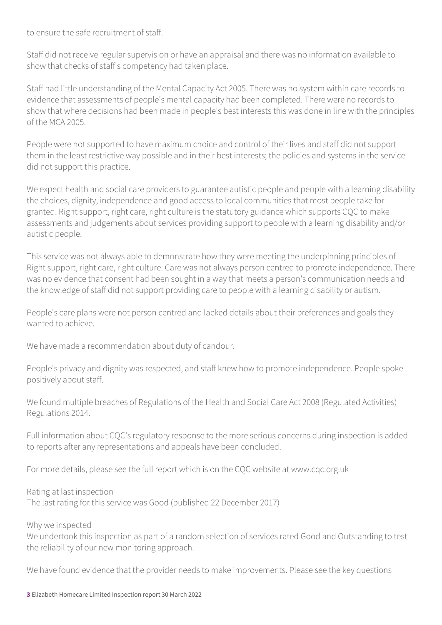to ensure the safe recruitment of staff.

Staff did not receive regular supervision or have an appraisal and there was no information available to show that checks of staff's competency had taken place.

Staff had little understanding of the Mental Capacity Act 2005. There was no system within care records to evidence that assessments of people's mental capacity had been completed. There were no records to show that where decisions had been made in people's best interests this was done in line with the principles of the MCA 2005.

People were not supported to have maximum choice and control of their lives and staff did not support them in the least restrictive way possible and in their best interests; the policies and systems in the service did not support this practice.

We expect health and social care providers to guarantee autistic people and people with a learning disability the choices, dignity, independence and good access to local communities that most people take for granted. Right support, right care, right culture is the statutory guidance which supports CQC to make assessments and judgements about services providing support to people with a learning disability and/or autistic people.

This service was not always able to demonstrate how they were meeting the underpinning principles of Right support, right care, right culture. Care was not always person centred to promote independence. There was no evidence that consent had been sought in a way that meets a person's communication needs and the knowledge of staff did not support providing care to people with a learning disability or autism.

People's care plans were not person centred and lacked details about their preferences and goals they wanted to achieve.

We have made a recommendation about duty of candour.

People's privacy and dignity was respected, and staff knew how to promote independence. People spoke positively about staff.

We found multiple breaches of Regulations of the Health and Social Care Act 2008 (Regulated Activities) Regulations 2014.

Full information about CQC's regulatory response to the more serious concerns during inspection is added to reports after any representations and appeals have been concluded.

For more details, please see the full report which is on the CQC website at www.cqc.org.uk

Rating at last inspection The last rating for this service was Good (published 22 December 2017)

Why we inspected

We undertook this inspection as part of a random selection of services rated Good and Outstanding to test the reliability of our new monitoring approach.

We have found evidence that the provider needs to make improvements. Please see the key questions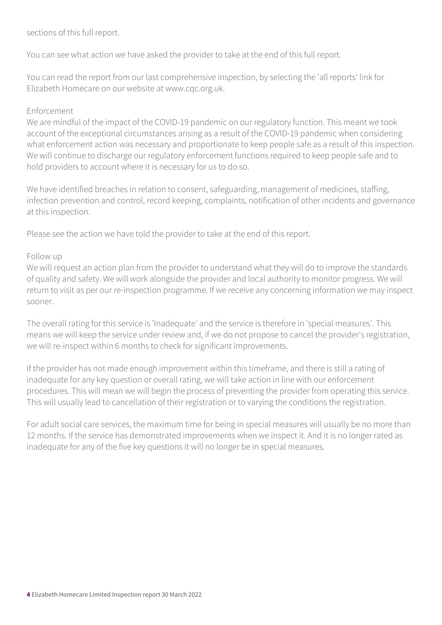### sections of this full report.

You can see what action we have asked the provider to take at the end of this full report.

You can read the report from our last comprehensive inspection, by selecting the 'all reports' link for Elizabeth Homecare on our website at www.cqc.org.uk.

#### Enforcement

We are mindful of the impact of the COVID-19 pandemic on our regulatory function. This meant we took account of the exceptional circumstances arising as a result of the COVID-19 pandemic when considering what enforcement action was necessary and proportionate to keep people safe as a result of this inspection. We will continue to discharge our regulatory enforcement functions required to keep people safe and to hold providers to account where it is necessary for us to do so.

We have identified breaches in relation to consent, safeguarding, management of medicines, staffing, infection prevention and control, record keeping, complaints, notification of other incidents and governance at this inspection.

Please see the action we have told the provider to take at the end of this report.

#### Follow up

We will request an action plan from the provider to understand what they will do to improve the standards of quality and safety. We will work alongside the provider and local authority to monitor progress. We will return to visit as per our re-inspection programme. If we receive any concerning information we may inspect sooner.

The overall rating for this service is 'Inadequate' and the service is therefore in 'special measures'. This means we will keep the service under review and, if we do not propose to cancel the provider's registration, we will re-inspect within 6 months to check for significant improvements.

If the provider has not made enough improvement within this timeframe, and there is still a rating of inadequate for any key question or overall rating, we will take action in line with our enforcement procedures. This will mean we will begin the process of preventing the provider from operating this service. This will usually lead to cancellation of their registration or to varying the conditions the registration.

For adult social care services, the maximum time for being in special measures will usually be no more than 12 months. If the service has demonstrated improvements when we inspect it. And it is no longer rated as inadequate for any of the five key questions it will no longer be in special measures.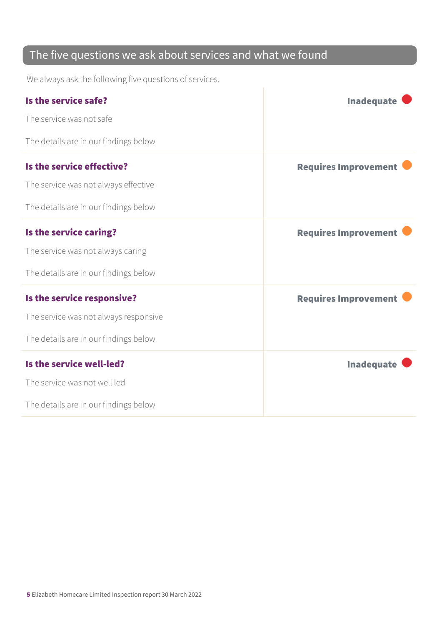### The five questions we ask about services and what we found

We always ask the following five questions of services.

| Is the service safe?                  | <b>Inadequate</b>           |
|---------------------------------------|-----------------------------|
| The service was not safe              |                             |
| The details are in our findings below |                             |
| Is the service effective?             | <b>Requires Improvement</b> |
| The service was not always effective  |                             |
| The details are in our findings below |                             |
| Is the service caring?                | <b>Requires Improvement</b> |
| The service was not always caring     |                             |
| The details are in our findings below |                             |
| Is the service responsive?            | <b>Requires Improvement</b> |
| The service was not always responsive |                             |
| The details are in our findings below |                             |
| Is the service well-led?              | <b>Inadequate</b>           |
| The service was not well led          |                             |
| The details are in our findings below |                             |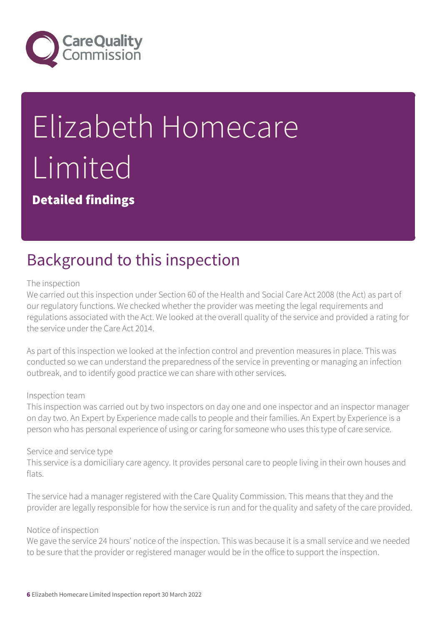

# Elizabeth Homecare Limited

Detailed findings

## Background to this inspection

#### The inspection

We carried out this inspection under Section 60 of the Health and Social Care Act 2008 (the Act) as part of our regulatory functions. We checked whether the provider was meeting the legal requirements and regulations associated with the Act. We looked at the overall quality of the service and provided a rating for the service under the Care Act 2014.

As part of this inspection we looked at the infection control and prevention measures in place. This was conducted so we can understand the preparedness of the service in preventing or managing an infection outbreak, and to identify good practice we can share with other services.

#### Inspection team

This inspection was carried out by two inspectors on day one and one inspector and an inspector manager on day two. An Expert by Experience made calls to people and their families. An Expert by Experience is a person who has personal experience of using or caring for someone who uses this type of care service.

#### Service and service type

This service is a domiciliary care agency. It provides personal care to people living in their own houses and flats.

The service had a manager registered with the Care Quality Commission. This means that they and the provider are legally responsible for how the service is run and for the quality and safety of the care provided.

#### Notice of inspection

We gave the service 24 hours' notice of the inspection. This was because it is a small service and we needed to be sure that the provider or registered manager would be in the office to support the inspection.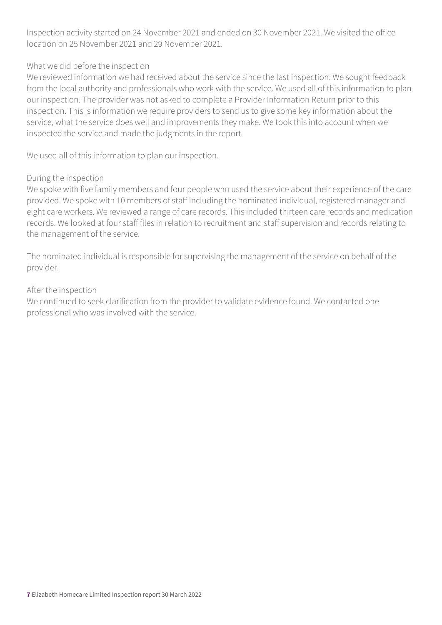Inspection activity started on 24 November 2021 and ended on 30 November 2021. We visited the office location on 25 November 2021 and 29 November 2021.

#### What we did before the inspection

We reviewed information we had received about the service since the last inspection. We sought feedback from the local authority and professionals who work with the service. We used all of this information to plan our inspection. The provider was not asked to complete a Provider Information Return prior to this inspection. This is information we require providers to send us to give some key information about the service, what the service does well and improvements they make. We took this into account when we inspected the service and made the judgments in the report.

We used all of this information to plan our inspection.

#### During the inspection

We spoke with five family members and four people who used the service about their experience of the care provided. We spoke with 10 members of staff including the nominated individual, registered manager and eight care workers. We reviewed a range of care records. This included thirteen care records and medication records. We looked at four staff files in relation to recruitment and staff supervision and records relating to the management of the service.

The nominated individual is responsible for supervising the management of the service on behalf of the provider.

#### After the inspection

We continued to seek clarification from the provider to validate evidence found. We contacted one professional who was involved with the service.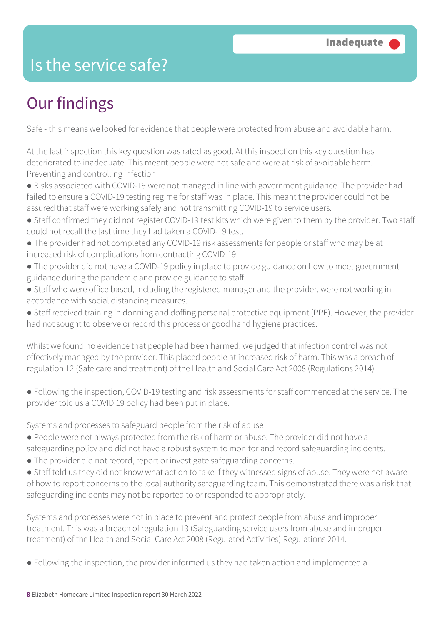### Is the service safe?

# Our findings

Safe - this means we looked for evidence that people were protected from abuse and avoidable harm.

At the last inspection this key question was rated as good. At this inspection this key question has deteriorated to inadequate. This meant people were not safe and were at risk of avoidable harm. Preventing and controlling infection

- Risks associated with COVID-19 were not managed in line with government guidance. The provider had failed to ensure a COVID-19 testing regime for staff was in place. This meant the provider could not be assured that staff were working safely and not transmitting COVID-19 to service users.
- Staff confirmed they did not register COVID-19 test kits which were given to them by the provider. Two staff could not recall the last time they had taken a COVID-19 test.
- The provider had not completed any COVID-19 risk assessments for people or staff who may be at increased risk of complications from contracting COVID-19.
- The provider did not have a COVID-19 policy in place to provide guidance on how to meet government guidance during the pandemic and provide guidance to staff.
- Staff who were office based, including the registered manager and the provider, were not working in accordance with social distancing measures.
- Staff received training in donning and doffing personal protective equipment (PPE). However, the provider had not sought to observe or record this process or good hand hygiene practices.

Whilst we found no evidence that people had been harmed, we judged that infection control was not effectively managed by the provider. This placed people at increased risk of harm. This was a breach of regulation 12 (Safe care and treatment) of the Health and Social Care Act 2008 (Regulations 2014)

● Following the inspection, COVID-19 testing and risk assessments for staff commenced at the service. The provider told us a COVID 19 policy had been put in place.

Systems and processes to safeguard people from the risk of abuse

- People were not always protected from the risk of harm or abuse. The provider did not have a safeguarding policy and did not have a robust system to monitor and record safeguarding incidents.
- The provider did not record, report or investigate safeguarding concerns.
- Staff told us they did not know what action to take if they witnessed signs of abuse. They were not aware of how to report concerns to the local authority safeguarding team. This demonstrated there was a risk that safeguarding incidents may not be reported to or responded to appropriately.

Systems and processes were not in place to prevent and protect people from abuse and improper treatment. This was a breach of regulation 13 (Safeguarding service users from abuse and improper treatment) of the Health and Social Care Act 2008 (Regulated Activities) Regulations 2014.

● Following the inspection, the provider informed us they had taken action and implemented a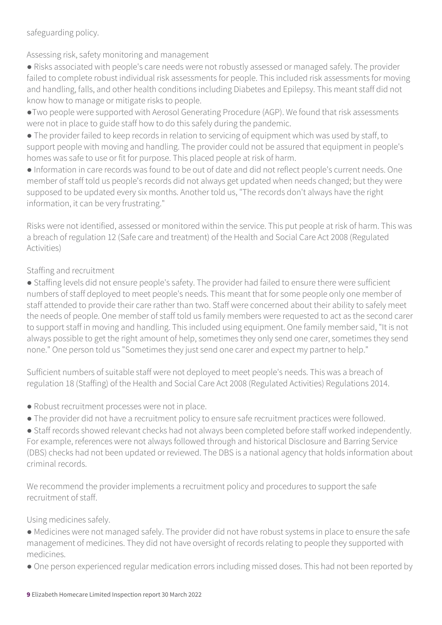safeguarding policy.

Assessing risk, safety monitoring and management

● Risks associated with people's care needs were not robustly assessed or managed safely. The provider failed to complete robust individual risk assessments for people. This included risk assessments for moving and handling, falls, and other health conditions including Diabetes and Epilepsy. This meant staff did not know how to manage or mitigate risks to people.

●Two people were supported with Aerosol Generating Procedure (AGP). We found that risk assessments were not in place to guide staff how to do this safely during the pandemic.

● The provider failed to keep records in relation to servicing of equipment which was used by staff, to support people with moving and handling. The provider could not be assured that equipment in people's homes was safe to use or fit for purpose. This placed people at risk of harm.

● Information in care records was found to be out of date and did not reflect people's current needs. One member of staff told us people's records did not always get updated when needs changed; but they were supposed to be updated every six months. Another told us, "The records don't always have the right information, it can be very frustrating."

Risks were not identified, assessed or monitored within the service. This put people at risk of harm. This was a breach of regulation 12 (Safe care and treatment) of the Health and Social Care Act 2008 (Regulated Activities)

### Staffing and recruitment

● Staffing levels did not ensure people's safety. The provider had failed to ensure there were sufficient numbers of staff deployed to meet people's needs. This meant that for some people only one member of staff attended to provide their care rather than two. Staff were concerned about their ability to safely meet the needs of people. One member of staff told us family members were requested to act as the second carer to support staff in moving and handling. This included using equipment. One family member said, "It is not always possible to get the right amount of help, sometimes they only send one carer, sometimes they send none." One person told us "Sometimes they just send one carer and expect my partner to help."

Sufficient numbers of suitable staff were not deployed to meet people's needs. This was a breach of regulation 18 (Staffing) of the Health and Social Care Act 2008 (Regulated Activities) Regulations 2014.

- Robust recruitment processes were not in place.
- The provider did not have a recruitment policy to ensure safe recruitment practices were followed.

● Staff records showed relevant checks had not always been completed before staff worked independently. For example, references were not always followed through and historical Disclosure and Barring Service (DBS) checks had not been updated or reviewed. The DBS is a national agency that holds information about criminal records.

We recommend the provider implements a recruitment policy and procedures to support the safe recruitment of staff.

Using medicines safely.

● Medicines were not managed safely. The provider did not have robust systems in place to ensure the safe management of medicines. They did not have oversight of records relating to people they supported with medicines.

● One person experienced regular medication errors including missed doses. This had not been reported by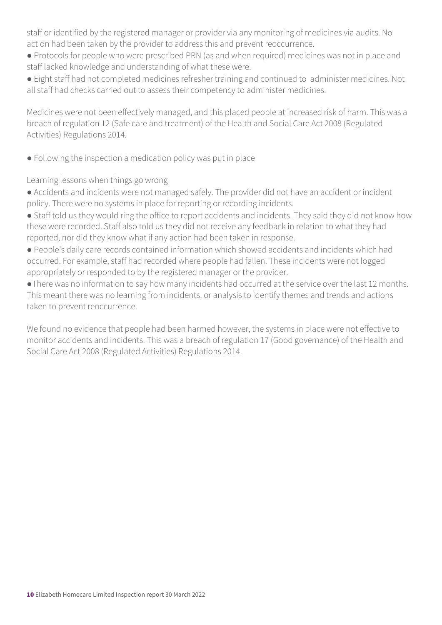staff or identified by the registered manager or provider via any monitoring of medicines via audits. No action had been taken by the provider to address this and prevent reoccurrence.

- Protocols for people who were prescribed PRN (as and when required) medicines was not in place and staff lacked knowledge and understanding of what these were.
- Eight staff had not completed medicines refresher training and continued to administer medicines. Not all staff had checks carried out to assess their competency to administer medicines.

Medicines were not been effectively managed, and this placed people at increased risk of harm. This was a breach of regulation 12 (Safe care and treatment) of the Health and Social Care Act 2008 (Regulated Activities) Regulations 2014.

• Following the inspection a medication policy was put in place

Learning lessons when things go wrong

● Accidents and incidents were not managed safely. The provider did not have an accident or incident policy. There were no systems in place for reporting or recording incidents.

- Staff told us they would ring the office to report accidents and incidents. They said they did not know how these were recorded. Staff also told us they did not receive any feedback in relation to what they had reported, nor did they know what if any action had been taken in response.
- People's daily care records contained information which showed accidents and incidents which had occurred. For example, staff had recorded where people had fallen. These incidents were not logged appropriately or responded to by the registered manager or the provider.
- ●There was no information to say how many incidents had occurred at the service over the last 12 months. This meant there was no learning from incidents, or analysis to identify themes and trends and actions taken to prevent reoccurrence.

We found no evidence that people had been harmed however, the systems in place were not effective to monitor accidents and incidents. This was a breach of regulation 17 (Good governance) of the Health and Social Care Act 2008 (Regulated Activities) Regulations 2014.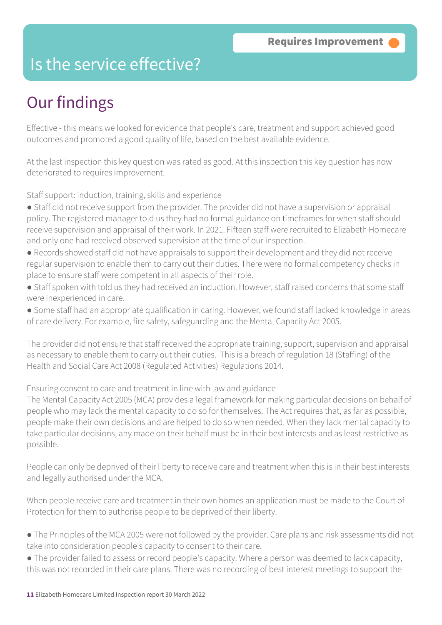### Is the service effective?

## Our findings

Effective - this means we looked for evidence that people's care, treatment and support achieved good outcomes and promoted a good quality of life, based on the best available evidence.

At the last inspection this key question was rated as good. At this inspection this key question has now deteriorated to requires improvement.

Staff support: induction, training, skills and experience

- Staff did not receive support from the provider. The provider did not have a supervision or appraisal policy. The registered manager told us they had no formal guidance on timeframes for when staff should receive supervision and appraisal of their work. In 2021. Fifteen staff were recruited to Elizabeth Homecare and only one had received observed supervision at the time of our inspection.
- Records showed staff did not have appraisals to support their development and they did not receive regular supervision to enable them to carry out their duties. There were no formal competency checks in place to ensure staff were competent in all aspects of their role.
- Staff spoken with told us they had received an induction. However, staff raised concerns that some staff were inexperienced in care.
- Some staff had an appropriate qualification in caring. However, we found staff lacked knowledge in areas of care delivery. For example, fire safety, safeguarding and the Mental Capacity Act 2005.

The provider did not ensure that staff received the appropriate training, support, supervision and appraisal as necessary to enable them to carry out their duties. This is a breach of regulation 18 (Staffing) of the Health and Social Care Act 2008 (Regulated Activities) Regulations 2014.

Ensuring consent to care and treatment in line with law and guidance

The Mental Capacity Act 2005 (MCA) provides a legal framework for making particular decisions on behalf of people who may lack the mental capacity to do so for themselves. The Act requires that, as far as possible, people make their own decisions and are helped to do so when needed. When they lack mental capacity to take particular decisions, any made on their behalf must be in their best interests and as least restrictive as possible.

People can only be deprived of their liberty to receive care and treatment when this is in their best interests and legally authorised under the MCA.

When people receive care and treatment in their own homes an application must be made to the Court of Protection for them to authorise people to be deprived of their liberty.

- The Principles of the MCA 2005 were not followed by the provider. Care plans and risk assessments did not take into consideration people's capacity to consent to their care.
- The provider failed to assess or record people's capacity. Where a person was deemed to lack capacity, this was not recorded in their care plans. There was no recording of best interest meetings to support the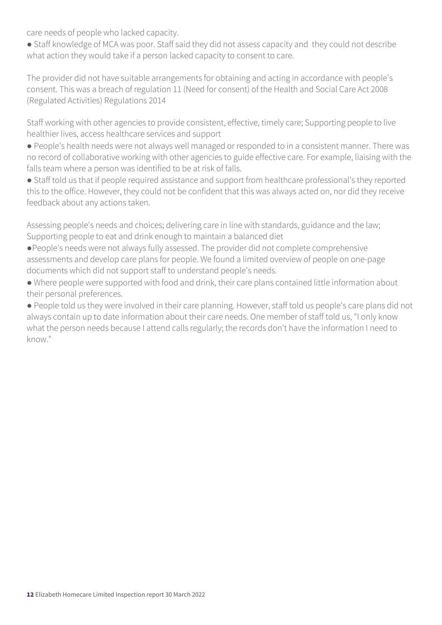care needs of people who lacked capacity.

• Staff knowledge of MCA was poor. Staff said they did not assess capacity and they could not describe what action they would take if a person lacked capacity to consent to care.

The provider did not have suitable arrangements for obtaining and acting in accordance with people's consent. This was a breach of regulation 11 (Need for consent) of the Health and Social Care Act 2008 (Regulated Activities) Regulations 2014

Staff working with other agencies to provide consistent, effective, timely care; Supporting people to live healthier lives, access healthcare services and support

● People's health needs were not always well managed or responded to in a consistent manner. There was no record of collaborative working with other agencies to guide effective care. For example, liaising with the falls team where a person was identified to be at risk of falls.

● Staff told us that if people required assistance and support from healthcare professional's they reported this to the office. However, they could not be confident that this was always acted on, nor did they receive feedback about any actions taken.

Assessing people's needs and choices; delivering care in line with standards, guidance and the law; Supporting people to eat and drink enough to maintain a balanced diet

- ●People's needs were not always fully assessed. The provider did not complete comprehensive assessments and develop care plans for people. We found a limited overview of people on one-page documents which did not support staff to understand people's needs.
- Where people were supported with food and drink, their care plans contained little information about their personal preferences.

● People told us they were involved in their care planning. However, staff told us people's care plans did not always contain up to date information about their care needs. One member of staff told us, "I only know what the person needs because I attend calls regularly; the records don't have the information I need to know."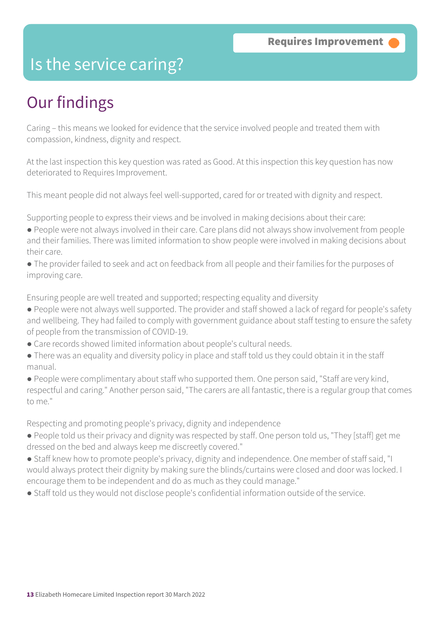### Is the service caring?

### Our findings

Caring – this means we looked for evidence that the service involved people and treated them with compassion, kindness, dignity and respect.

At the last inspection this key question was rated as Good. At this inspection this key question has now deteriorated to Requires Improvement.

This meant people did not always feel well-supported, cared for or treated with dignity and respect.

Supporting people to express their views and be involved in making decisions about their care:

- People were not always involved in their care. Care plans did not always show involvement from people and their families. There was limited information to show people were involved in making decisions about their care.
- The provider failed to seek and act on feedback from all people and their families for the purposes of improving care.

Ensuring people are well treated and supported; respecting equality and diversity

- People were not always well supported. The provider and staff showed a lack of regard for people's safety and wellbeing. They had failed to comply with government guidance about staff testing to ensure the safety of people from the transmission of COVID-19.
- Care records showed limited information about people's cultural needs.
- There was an equality and diversity policy in place and staff told us they could obtain it in the staff manual.
- People were complimentary about staff who supported them. One person said, "Staff are very kind, respectful and caring." Another person said, "The carers are all fantastic, there is a regular group that comes to me."

Respecting and promoting people's privacy, dignity and independence

- People told us their privacy and dignity was respected by staff. One person told us, "They [staff] get me dressed on the bed and always keep me discreetly covered."
- Staff knew how to promote people's privacy, dignity and independence. One member of staff said, "I would always protect their dignity by making sure the blinds/curtains were closed and door was locked. I encourage them to be independent and do as much as they could manage."
- Staff told us they would not disclose people's confidential information outside of the service.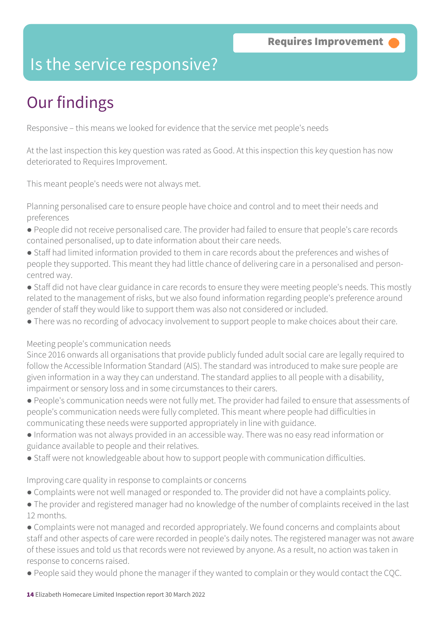### Is the service responsive?

# Our findings

Responsive – this means we looked for evidence that the service met people's needs

At the last inspection this key question was rated as Good. At this inspection this key question has now deteriorated to Requires Improvement.

This meant people's needs were not always met.

Planning personalised care to ensure people have choice and control and to meet their needs and preferences

- People did not receive personalised care. The provider had failed to ensure that people's care records contained personalised, up to date information about their care needs.
- Staff had limited information provided to them in care records about the preferences and wishes of people they supported. This meant they had little chance of delivering care in a personalised and personcentred way.
- Staff did not have clear guidance in care records to ensure they were meeting people's needs. This mostly related to the management of risks, but we also found information regarding people's preference around gender of staff they would like to support them was also not considered or included.
- There was no recording of advocacy involvement to support people to make choices about their care.

### Meeting people's communication needs

Since 2016 onwards all organisations that provide publicly funded adult social care are legally required to follow the Accessible Information Standard (AIS). The standard was introduced to make sure people are given information in a way they can understand. The standard applies to all people with a disability, impairment or sensory loss and in some circumstances to their carers.

- People's communication needs were not fully met. The provider had failed to ensure that assessments of people's communication needs were fully completed. This meant where people had difficulties in communicating these needs were supported appropriately in line with guidance.
- Information was not always provided in an accessible way. There was no easy read information or guidance available to people and their relatives.
- Staff were not knowledgeable about how to support people with communication difficulties.

### Improving care quality in response to complaints or concerns

- Complaints were not well managed or responded to. The provider did not have a complaints policy.
- The provider and registered manager had no knowledge of the number of complaints received in the last 12 months.

• Complaints were not managed and recorded appropriately. We found concerns and complaints about staff and other aspects of care were recorded in people's daily notes. The registered manager was not aware of these issues and told us that records were not reviewed by anyone. As a result, no action was taken in response to concerns raised.

● People said they would phone the manager if they wanted to complain or they would contact the CQC.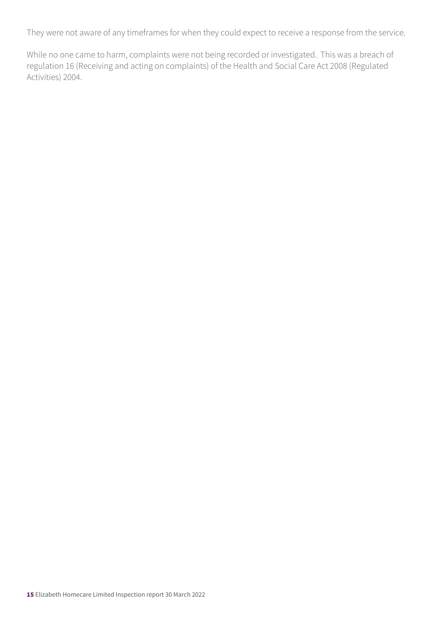They were not aware of any timeframes for when they could expect to receive a response from the service.

While no one came to harm, complaints were not being recorded or investigated. This was a breach of regulation 16 (Receiving and acting on complaints) of the Health and Social Care Act 2008 (Regulated Activities) 2004.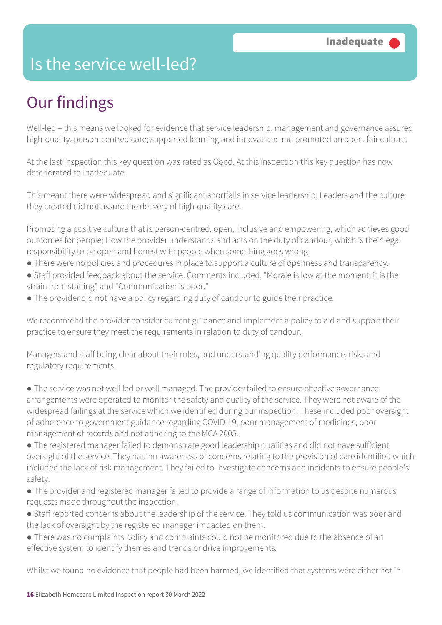### Is the service well-led?

## Our findings

Well-led – this means we looked for evidence that service leadership, management and governance assured high-quality, person-centred care; supported learning and innovation; and promoted an open, fair culture.

At the last inspection this key question was rated as Good. At this inspection this key question has now deteriorated to Inadequate.

This meant there were widespread and significant shortfalls in service leadership. Leaders and the culture they created did not assure the delivery of high-quality care.

Promoting a positive culture that is person-centred, open, inclusive and empowering, which achieves good outcomes for people; How the provider understands and acts on the duty of candour, which is their legal responsibility to be open and honest with people when something goes wrong

- There were no policies and procedures in place to support a culture of openness and transparency.
- Staff provided feedback about the service. Comments included, "Morale is low at the moment; it is the strain from staffing" and "Communication is poor."
- The provider did not have a policy regarding duty of candour to guide their practice.

We recommend the provider consider current guidance and implement a policy to aid and support their practice to ensure they meet the requirements in relation to duty of candour.

Managers and staff being clear about their roles, and understanding quality performance, risks and regulatory requirements

● The service was not well led or well managed. The provider failed to ensure effective governance arrangements were operated to monitor the safety and quality of the service. They were not aware of the widespread failings at the service which we identified during our inspection. These included poor oversight of adherence to government guidance regarding COVID-19, poor management of medicines, poor management of records and not adhering to the MCA 2005.

● The registered manager failed to demonstrate good leadership qualities and did not have sufficient oversight of the service. They had no awareness of concerns relating to the provision of care identified which included the lack of risk management. They failed to investigate concerns and incidents to ensure people's safety.

- The provider and registered manager failed to provide a range of information to us despite numerous requests made throughout the inspection.
- Staff reported concerns about the leadership of the service. They told us communication was poor and the lack of oversight by the registered manager impacted on them.
- There was no complaints policy and complaints could not be monitored due to the absence of an effective system to identify themes and trends or drive improvements.

Whilst we found no evidence that people had been harmed, we identified that systems were either not in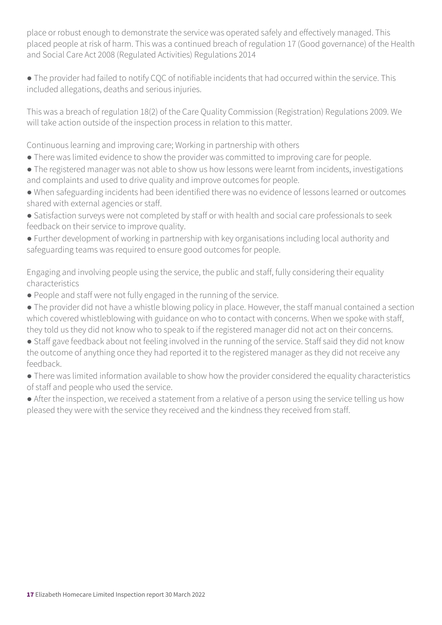place or robust enough to demonstrate the service was operated safely and effectively managed. This placed people at risk of harm. This was a continued breach of regulation 17 (Good governance) of the Health and Social Care Act 2008 (Regulated Activities) Regulations 2014

● The provider had failed to notify CQC of notifiable incidents that had occurred within the service. This included allegations, deaths and serious injuries.

This was a breach of regulation 18(2) of the Care Quality Commission (Registration) Regulations 2009. We will take action outside of the inspection process in relation to this matter.

Continuous learning and improving care; Working in partnership with others

- There was limited evidence to show the provider was committed to improving care for people.
- The registered manager was not able to show us how lessons were learnt from incidents, investigations and complaints and used to drive quality and improve outcomes for people.
- When safeguarding incidents had been identified there was no evidence of lessons learned or outcomes shared with external agencies or staff.
- Satisfaction surveys were not completed by staff or with health and social care professionals to seek feedback on their service to improve quality.
- Further development of working in partnership with key organisations including local authority and safeguarding teams was required to ensure good outcomes for people.

Engaging and involving people using the service, the public and staff, fully considering their equality characteristics

- People and staff were not fully engaged in the running of the service.
- The provider did not have a whistle blowing policy in place. However, the staff manual contained a section which covered whistleblowing with guidance on who to contact with concerns. When we spoke with staff, they told us they did not know who to speak to if the registered manager did not act on their concerns.
- Staff gave feedback about not feeling involved in the running of the service. Staff said they did not know the outcome of anything once they had reported it to the registered manager as they did not receive any feedback.
- There was limited information available to show how the provider considered the equality characteristics of staff and people who used the service.
- After the inspection, we received a statement from a relative of a person using the service telling us how pleased they were with the service they received and the kindness they received from staff.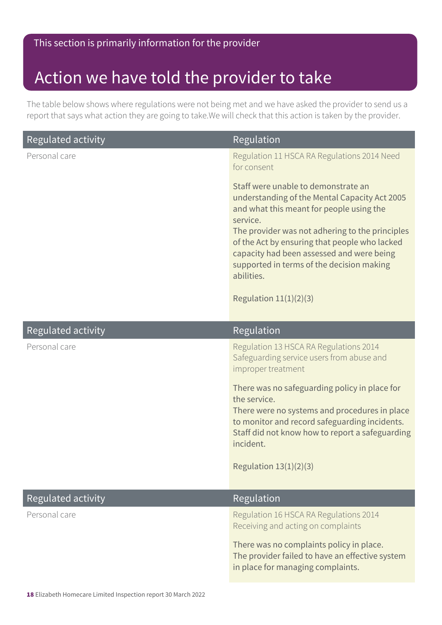### Action we have told the provider to take

The table below shows where regulations were not being met and we have asked the provider to send us a report that says what action they are going to take.We will check that this action is taken by the provider.

| <b>Regulated activity</b> | Regulation                                                                                                                                                                                                                                                                                                                                               |
|---------------------------|----------------------------------------------------------------------------------------------------------------------------------------------------------------------------------------------------------------------------------------------------------------------------------------------------------------------------------------------------------|
| Personal care             | Regulation 11 HSCA RA Regulations 2014 Need<br>for consent                                                                                                                                                                                                                                                                                               |
|                           | Staff were unable to demonstrate an<br>understanding of the Mental Capacity Act 2005<br>and what this meant for people using the<br>service.<br>The provider was not adhering to the principles<br>of the Act by ensuring that people who lacked<br>capacity had been assessed and were being<br>supported in terms of the decision making<br>abilities. |
|                           | Regulation $11(1)(2)(3)$                                                                                                                                                                                                                                                                                                                                 |
| <b>Regulated activity</b> | Regulation                                                                                                                                                                                                                                                                                                                                               |
| Personal care             | Regulation 13 HSCA RA Regulations 2014<br>Safeguarding service users from abuse and<br>improper treatment                                                                                                                                                                                                                                                |
|                           | There was no safeguarding policy in place for<br>the service.<br>There were no systems and procedures in place<br>to monitor and record safeguarding incidents.<br>Staff did not know how to report a safeguarding<br>incident.                                                                                                                          |
|                           | Regulation $13(1)(2)(3)$                                                                                                                                                                                                                                                                                                                                 |
| Regulated activity        | Regulation                                                                                                                                                                                                                                                                                                                                               |
| Personal care             | Regulation 16 HSCA RA Regulations 2014<br>Receiving and acting on complaints                                                                                                                                                                                                                                                                             |
|                           | There was no complaints policy in place.<br>The provider failed to have an effective system<br>in place for managing complaints.                                                                                                                                                                                                                         |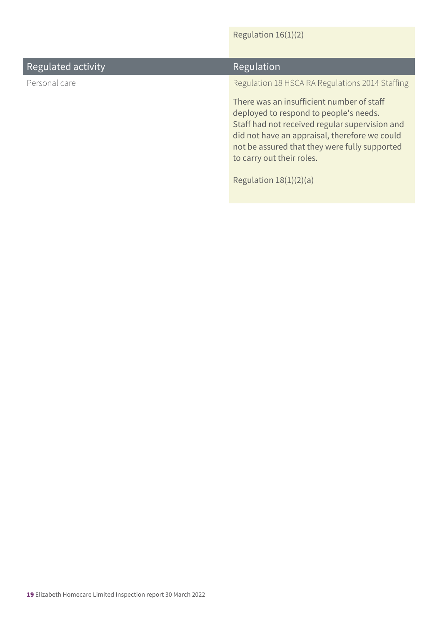### Regulation 16(1)(2)

| Regulated activity | Regulation                                                                                                                                                                                                                                                                                       |
|--------------------|--------------------------------------------------------------------------------------------------------------------------------------------------------------------------------------------------------------------------------------------------------------------------------------------------|
| Personal care      | Regulation 18 HSCA RA Regulations 2014 Staffing                                                                                                                                                                                                                                                  |
|                    | There was an insufficient number of staff<br>deployed to respond to people's needs.<br>Staff had not received regular supervision and<br>did not have an appraisal, therefore we could<br>not be assured that they were fully supported<br>to carry out their roles.<br>Regulation $18(1)(2)(a)$ |